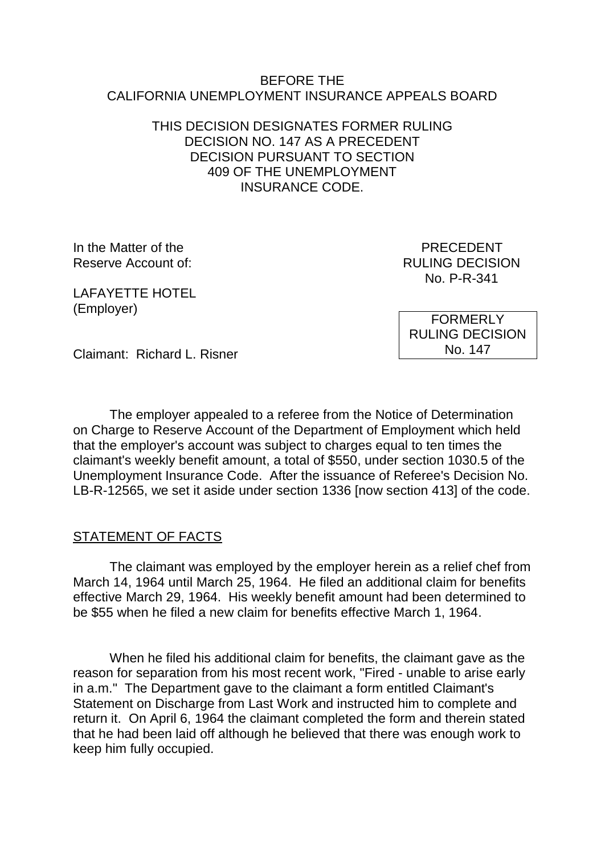#### BEFORE THE CALIFORNIA UNEMPLOYMENT INSURANCE APPEALS BOARD

## THIS DECISION DESIGNATES FORMER RULING DECISION NO. 147 AS A PRECEDENT DECISION PURSUANT TO SECTION 409 OF THE UNEMPLOYMENT INSURANCE CODE.

In the Matter of the **PRECEDENT** Reserve Account of:  $RULING DECISION$ 

No. P-R-341

LAFAYETTE HOTEL (Employer)

FORMERLY RULING DECISION No. 147

Claimant: Richard L. Risner

The employer appealed to a referee from the Notice of Determination on Charge to Reserve Account of the Department of Employment which held that the employer's account was subject to charges equal to ten times the claimant's weekly benefit amount, a total of \$550, under section 1030.5 of the Unemployment Insurance Code. After the issuance of Referee's Decision No. LB-R-12565, we set it aside under section 1336 [now section 413] of the code.

### STATEMENT OF FACTS

The claimant was employed by the employer herein as a relief chef from March 14, 1964 until March 25, 1964. He filed an additional claim for benefits effective March 29, 1964. His weekly benefit amount had been determined to be \$55 when he filed a new claim for benefits effective March 1, 1964.

When he filed his additional claim for benefits, the claimant gave as the reason for separation from his most recent work, "Fired - unable to arise early in a.m." The Department gave to the claimant a form entitled Claimant's Statement on Discharge from Last Work and instructed him to complete and return it. On April 6, 1964 the claimant completed the form and therein stated that he had been laid off although he believed that there was enough work to keep him fully occupied.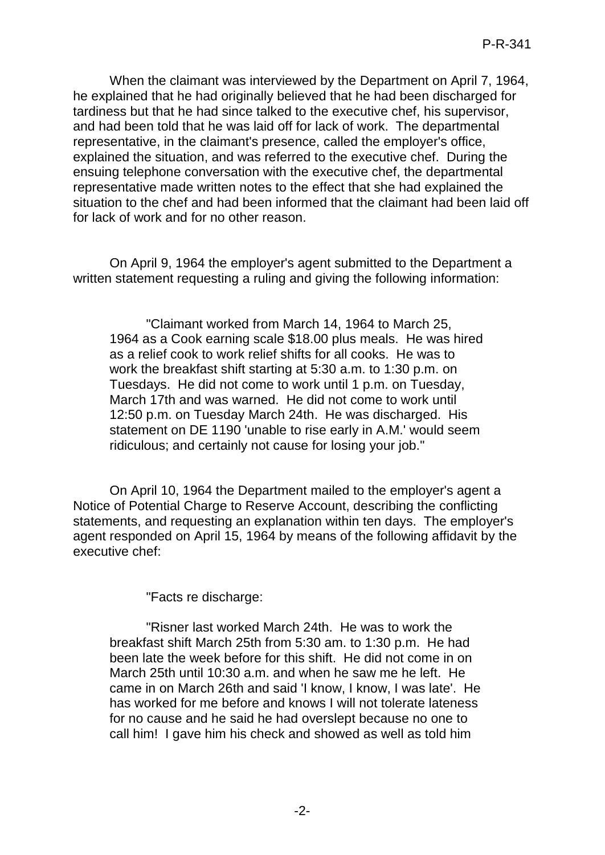When the claimant was interviewed by the Department on April 7, 1964, he explained that he had originally believed that he had been discharged for tardiness but that he had since talked to the executive chef, his supervisor, and had been told that he was laid off for lack of work. The departmental representative, in the claimant's presence, called the employer's office, explained the situation, and was referred to the executive chef. During the ensuing telephone conversation with the executive chef, the departmental representative made written notes to the effect that she had explained the situation to the chef and had been informed that the claimant had been laid off for lack of work and for no other reason.

On April 9, 1964 the employer's agent submitted to the Department a written statement requesting a ruling and giving the following information:

"Claimant worked from March 14, 1964 to March 25, 1964 as a Cook earning scale \$18.00 plus meals. He was hired as a relief cook to work relief shifts for all cooks. He was to work the breakfast shift starting at 5:30 a.m. to 1:30 p.m. on Tuesdays. He did not come to work until 1 p.m. on Tuesday, March 17th and was warned. He did not come to work until 12:50 p.m. on Tuesday March 24th. He was discharged. His statement on DE 1190 'unable to rise early in A.M.' would seem ridiculous; and certainly not cause for losing your job."

On April 10, 1964 the Department mailed to the employer's agent a Notice of Potential Charge to Reserve Account, describing the conflicting statements, and requesting an explanation within ten days. The employer's agent responded on April 15, 1964 by means of the following affidavit by the executive chef:

"Facts re discharge:

"Risner last worked March 24th. He was to work the breakfast shift March 25th from 5:30 am. to 1:30 p.m. He had been late the week before for this shift. He did not come in on March 25th until 10:30 a.m. and when he saw me he left. He came in on March 26th and said 'I know, I know, I was late'. He has worked for me before and knows I will not tolerate lateness for no cause and he said he had overslept because no one to call him! I gave him his check and showed as well as told him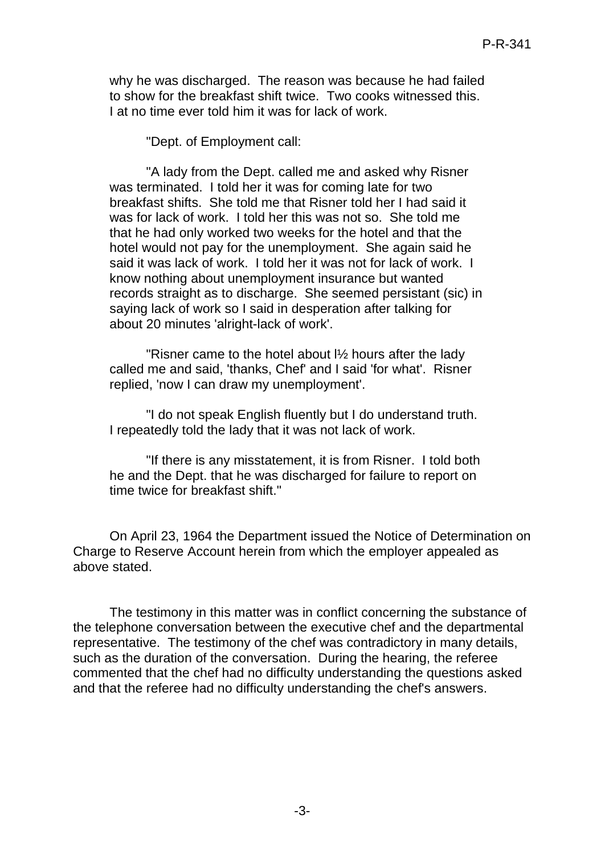why he was discharged. The reason was because he had failed to show for the breakfast shift twice. Two cooks witnessed this. I at no time ever told him it was for lack of work.

"Dept. of Employment call:

"A lady from the Dept. called me and asked why Risner was terminated. I told her it was for coming late for two breakfast shifts. She told me that Risner told her I had said it was for lack of work. I told her this was not so. She told me that he had only worked two weeks for the hotel and that the hotel would not pay for the unemployment. She again said he said it was lack of work. I told her it was not for lack of work. I know nothing about unemployment insurance but wanted records straight as to discharge. She seemed persistant (sic) in saying lack of work so I said in desperation after talking for about 20 minutes 'alright-lack of work'.

"Risner came to the hotel about l½ hours after the lady called me and said, 'thanks, Chef' and I said 'for what'. Risner replied, 'now I can draw my unemployment'.

"I do not speak English fluently but I do understand truth. I repeatedly told the lady that it was not lack of work.

"If there is any misstatement, it is from Risner. I told both he and the Dept. that he was discharged for failure to report on time twice for breakfast shift."

On April 23, 1964 the Department issued the Notice of Determination on Charge to Reserve Account herein from which the employer appealed as above stated.

The testimony in this matter was in conflict concerning the substance of the telephone conversation between the executive chef and the departmental representative. The testimony of the chef was contradictory in many details, such as the duration of the conversation. During the hearing, the referee commented that the chef had no difficulty understanding the questions asked and that the referee had no difficulty understanding the chef's answers.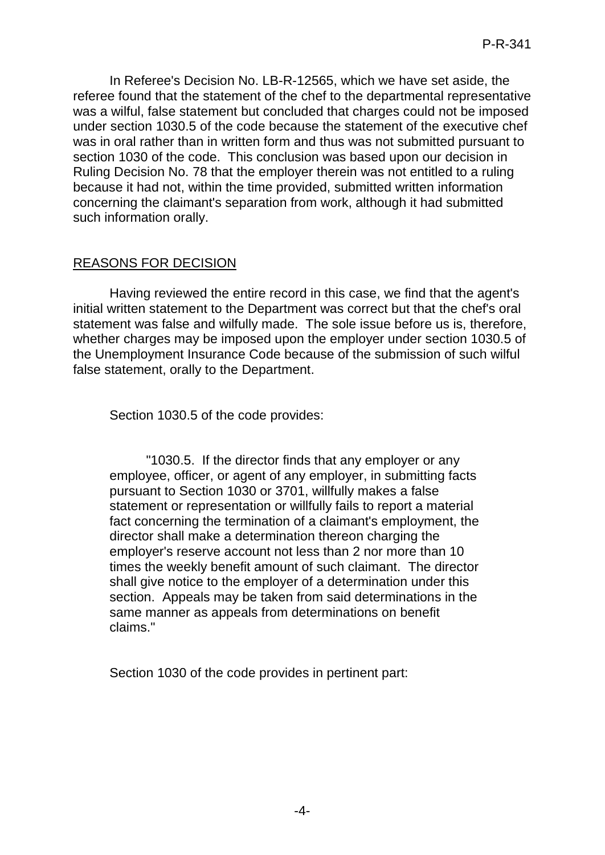In Referee's Decision No. LB-R-12565, which we have set aside, the referee found that the statement of the chef to the departmental representative was a wilful, false statement but concluded that charges could not be imposed under section 1030.5 of the code because the statement of the executive chef was in oral rather than in written form and thus was not submitted pursuant to section 1030 of the code. This conclusion was based upon our decision in Ruling Decision No. 78 that the employer therein was not entitled to a ruling because it had not, within the time provided, submitted written information concerning the claimant's separation from work, although it had submitted such information orally.

# REASONS FOR DECISION

Having reviewed the entire record in this case, we find that the agent's initial written statement to the Department was correct but that the chef's oral statement was false and wilfully made. The sole issue before us is, therefore, whether charges may be imposed upon the employer under section 1030.5 of the Unemployment Insurance Code because of the submission of such wilful false statement, orally to the Department.

Section 1030.5 of the code provides:

"1030.5. If the director finds that any employer or any employee, officer, or agent of any employer, in submitting facts pursuant to Section 1030 or 3701, willfully makes a false statement or representation or willfully fails to report a material fact concerning the termination of a claimant's employment, the director shall make a determination thereon charging the employer's reserve account not less than 2 nor more than 10 times the weekly benefit amount of such claimant. The director shall give notice to the employer of a determination under this section. Appeals may be taken from said determinations in the same manner as appeals from determinations on benefit claims."

Section 1030 of the code provides in pertinent part: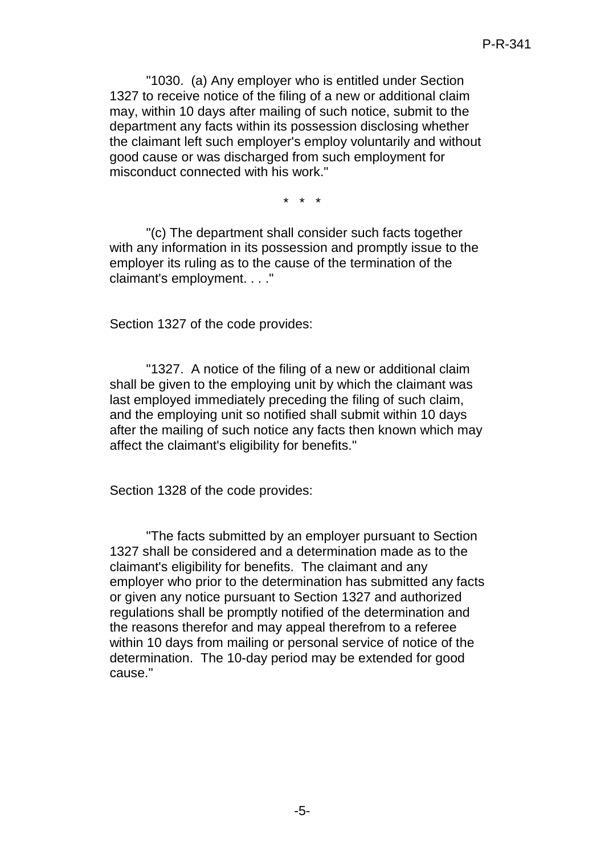"1030. (a) Any employer who is entitled under Section 1327 to receive notice of the filing of a new or additional claim may, within 10 days after mailing of such notice, submit to the department any facts within its possession disclosing whether the claimant left such employer's employ voluntarily and without good cause or was discharged from such employment for misconduct connected with his work."

\* \* \*

"(c) The department shall consider such facts together with any information in its possession and promptly issue to the employer its ruling as to the cause of the termination of the claimant's employment. . . ."

Section 1327 of the code provides:

"1327. A notice of the filing of a new or additional claim shall be given to the employing unit by which the claimant was last employed immediately preceding the filing of such claim, and the employing unit so notified shall submit within 10 days after the mailing of such notice any facts then known which may affect the claimant's eligibility for benefits."

Section 1328 of the code provides:

"The facts submitted by an employer pursuant to Section 1327 shall be considered and a determination made as to the claimant's eligibility for benefits. The claimant and any employer who prior to the determination has submitted any facts or given any notice pursuant to Section 1327 and authorized regulations shall be promptly notified of the determination and the reasons therefor and may appeal therefrom to a referee within 10 days from mailing or personal service of notice of the determination. The 10-day period may be extended for good cause."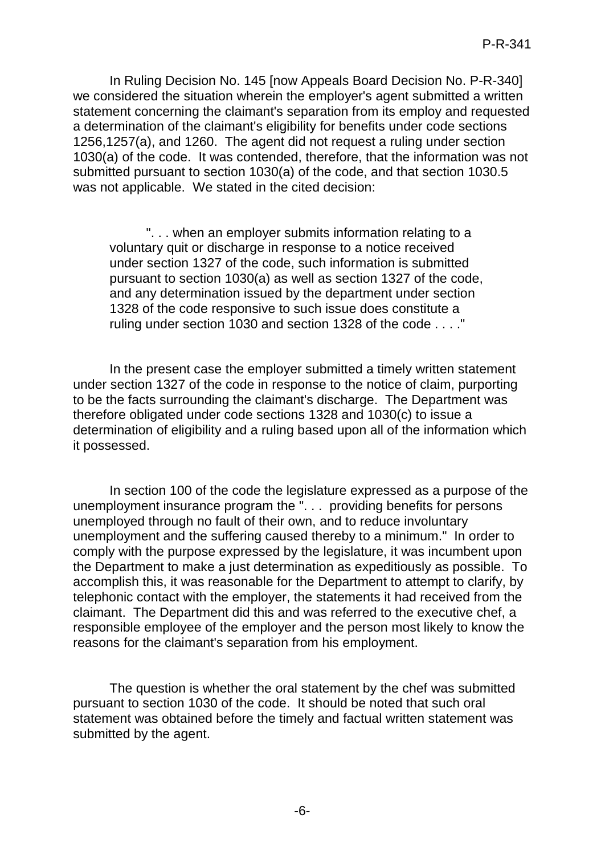In Ruling Decision No. 145 [now Appeals Board Decision No. P-R-340] we considered the situation wherein the employer's agent submitted a written statement concerning the claimant's separation from its employ and requested a determination of the claimant's eligibility for benefits under code sections 1256,1257(a), and 1260. The agent did not request a ruling under section 1030(a) of the code. It was contended, therefore, that the information was not submitted pursuant to section 1030(a) of the code, and that section 1030.5 was not applicable. We stated in the cited decision:

". . . when an employer submits information relating to a voluntary quit or discharge in response to a notice received under section 1327 of the code, such information is submitted pursuant to section 1030(a) as well as section 1327 of the code, and any determination issued by the department under section 1328 of the code responsive to such issue does constitute a ruling under section 1030 and section 1328 of the code . . . ."

In the present case the employer submitted a timely written statement under section 1327 of the code in response to the notice of claim, purporting to be the facts surrounding the claimant's discharge. The Department was therefore obligated under code sections 1328 and 1030(c) to issue a determination of eligibility and a ruling based upon all of the information which it possessed.

In section 100 of the code the legislature expressed as a purpose of the unemployment insurance program the ". . . providing benefits for persons unemployed through no fault of their own, and to reduce involuntary unemployment and the suffering caused thereby to a minimum." In order to comply with the purpose expressed by the legislature, it was incumbent upon the Department to make a just determination as expeditiously as possible. To accomplish this, it was reasonable for the Department to attempt to clarify, by telephonic contact with the employer, the statements it had received from the claimant. The Department did this and was referred to the executive chef, a responsible employee of the employer and the person most likely to know the reasons for the claimant's separation from his employment.

The question is whether the oral statement by the chef was submitted pursuant to section 1030 of the code. It should be noted that such oral statement was obtained before the timely and factual written statement was submitted by the agent.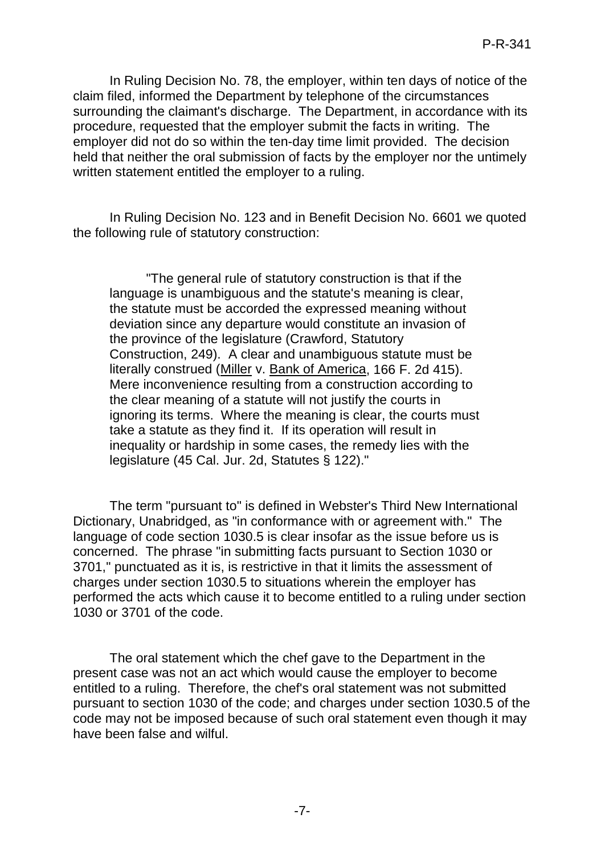In Ruling Decision No. 78, the employer, within ten days of notice of the claim filed, informed the Department by telephone of the circumstances surrounding the claimant's discharge. The Department, in accordance with its procedure, requested that the employer submit the facts in writing. The employer did not do so within the ten-day time limit provided. The decision held that neither the oral submission of facts by the employer nor the untimely written statement entitled the employer to a ruling.

In Ruling Decision No. 123 and in Benefit Decision No. 6601 we quoted the following rule of statutory construction:

"The general rule of statutory construction is that if the language is unambiguous and the statute's meaning is clear, the statute must be accorded the expressed meaning without deviation since any departure would constitute an invasion of the province of the legislature (Crawford, Statutory Construction, 249). A clear and unambiguous statute must be literally construed (Miller v. Bank of America, 166 F. 2d 415). Mere inconvenience resulting from a construction according to the clear meaning of a statute will not justify the courts in ignoring its terms. Where the meaning is clear, the courts must take a statute as they find it. If its operation will result in inequality or hardship in some cases, the remedy lies with the legislature (45 Cal. Jur. 2d, Statutes § 122)."

The term "pursuant to" is defined in Webster's Third New International Dictionary, Unabridged, as "in conformance with or agreement with." The language of code section 1030.5 is clear insofar as the issue before us is concerned. The phrase "in submitting facts pursuant to Section 1030 or 3701," punctuated as it is, is restrictive in that it limits the assessment of charges under section 1030.5 to situations wherein the employer has performed the acts which cause it to become entitled to a ruling under section 1030 or 3701 of the code.

The oral statement which the chef gave to the Department in the present case was not an act which would cause the employer to become entitled to a ruling. Therefore, the chef's oral statement was not submitted pursuant to section 1030 of the code; and charges under section 1030.5 of the code may not be imposed because of such oral statement even though it may have been false and wilful.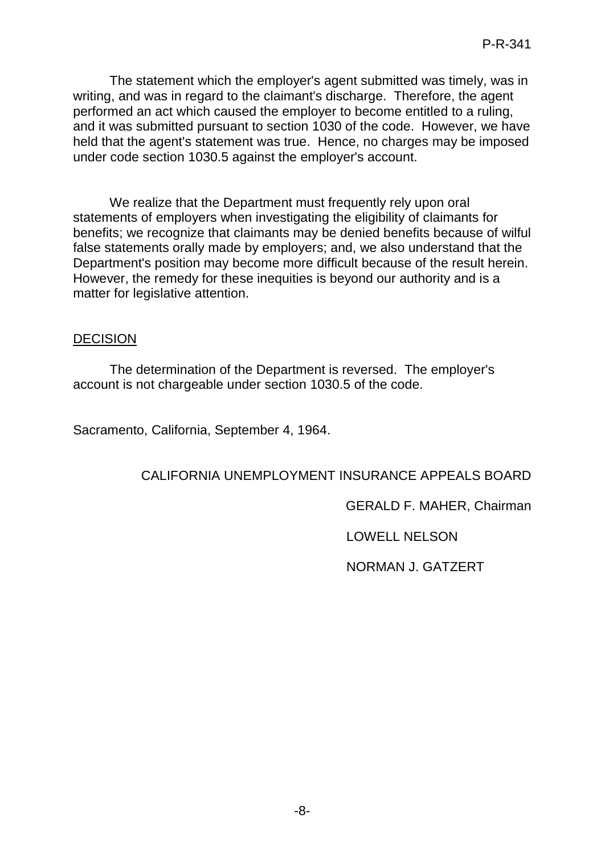The statement which the employer's agent submitted was timely, was in writing, and was in regard to the claimant's discharge. Therefore, the agent performed an act which caused the employer to become entitled to a ruling, and it was submitted pursuant to section 1030 of the code. However, we have held that the agent's statement was true. Hence, no charges may be imposed under code section 1030.5 against the employer's account.

We realize that the Department must frequently rely upon oral statements of employers when investigating the eligibility of claimants for benefits; we recognize that claimants may be denied benefits because of wilful false statements orally made by employers; and, we also understand that the Department's position may become more difficult because of the result herein. However, the remedy for these inequities is beyond our authority and is a matter for legislative attention.

### DECISION

The determination of the Department is reversed. The employer's account is not chargeable under section 1030.5 of the code.

Sacramento, California, September 4, 1964.

## CALIFORNIA UNEMPLOYMENT INSURANCE APPEALS BOARD

GERALD F. MAHER, Chairman

LOWELL NELSON

NORMAN J. GATZERT